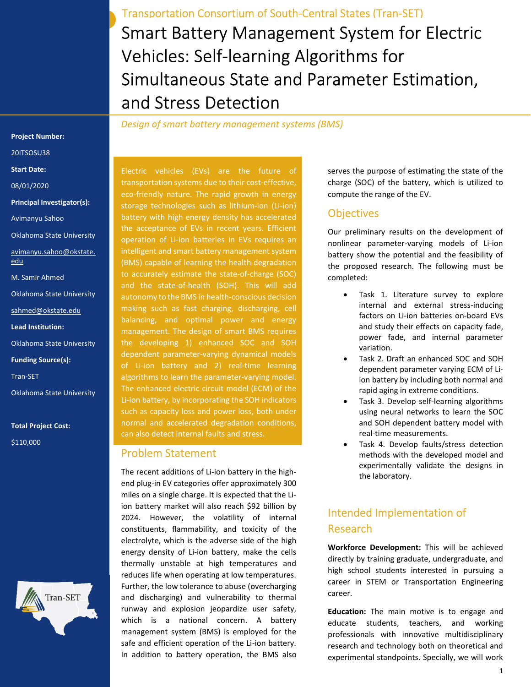Smart Battery Management System for Electric Vehicles: Self-learning Algorithms for Simultaneous State and Parameter Estimation, and Stress Detection Transportation Consortium of South-Central States (Tran-SET)

Design of smart battery management systems (BMS)

Project Number:

20ITSOSU38

Start Date:

08/01/2020

Principal Investigator(s):

Avimanyu Sahoo

Oklahoma State University

avimanyu.sahoo@okstate. edu

M. Samir Ahmed

Oklahoma State University

sahmed@okstate.edu

Lead Institution:

Oklahoma State University

Funding Source(s):

Tran-SET

Oklahoma State University

Total Project Cost: \$110,000



Electric vehicles (EVs) are the future of transportation systems due to their cost-effective, eco-friendly nature. The rapid growth in energy storage technologies such as lithium-ion (Li-ion) battery with high energy density has accelerated the acceptance of EVs in recent years. Efficient operation of Li-ion batteries in EVs requires an intelligent and smart battery management system (BMS) capable of learning the health degradation to accurately estimate the state-of-charge (SOC) and the state-of-health (SOH). This will add autonomy to the BMS in health-conscious decision making such as fast charging, discharging, cell balancing, and optimal power and energy management. The design of smart BMS requires the developing 1) enhanced SOC and SOH dependent parameter-varying dynamical models of Li-ion battery and 2) real-time learning algorithms to learn the parameter-varying model. The enhanced electric circuit model (ECM) of the Li-ion battery, by incorporating the SOH indicators such as capacity loss and power loss, both under normal and accelerated degradation conditions, can also detect internal faults and stress.

#### Problem Statement

The recent additions of Li-ion battery in the highend plug-in EV categories offer approximately 300 miles on a single charge. It is expected that the Liion battery market will also reach \$92 billion by 2024. However, the volatility of internal constituents, flammability, and toxicity of the electrolyte, which is the adverse side of the high energy density of Li-ion battery, make the cells thermally unstable at high temperatures and reduces life when operating at low temperatures. Further, the low tolerance to abuse (overcharging and discharging) and vulnerability to thermal runway and explosion jeopardize user safety, which is a national concern. A battery management system (BMS) is employed for the safe and efficient operation of the Li-ion battery. In addition to battery operation, the BMS also

serves the purpose of estimating the state of the charge (SOC) of the battery, which is utilized to compute the range of the EV.

#### **Objectives**

Our preliminary results on the development of nonlinear parameter-varying models of Li-ion battery show the potential and the feasibility of the proposed research. The following must be completed:

- Task 1. Literature survey to explore internal and external stress-inducing factors on Li-ion batteries on-board EVs and study their effects on capacity fade, power fade, and internal parameter variation.
- Task 2. Draft an enhanced SOC and SOH dependent parameter varying ECM of Liion battery by including both normal and rapid aging in extreme conditions.
- Task 3. Develop self-learning algorithms using neural networks to learn the SOC and SOH dependent battery model with real-time measurements.
- Task 4. Develop faults/stress detection methods with the developed model and experimentally validate the designs in the laboratory.

# Intended Implementation of Research

Workforce Development: This will be achieved directly by training graduate, undergraduate, and high school students interested in pursuing a career in STEM or Transportation Engineering career.

Education: The main motive is to engage and educate students, teachers, and working professionals with innovative multidisciplinary research and technology both on theoretical and experimental standpoints. Specially, we will work